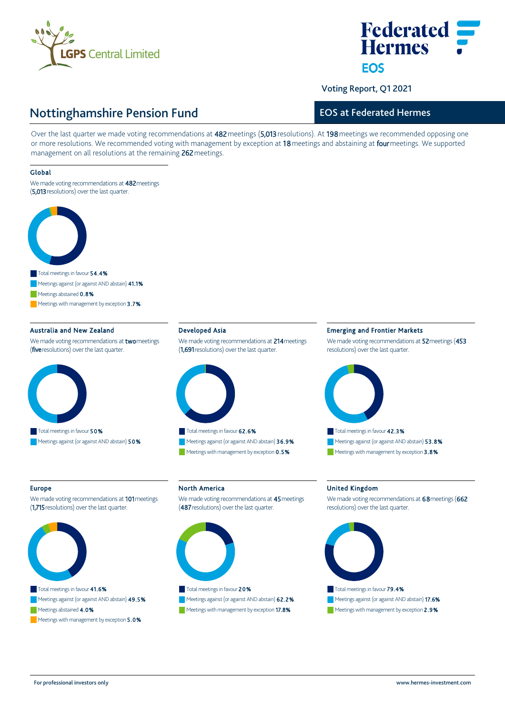

# **Federated Hermes FOS**

Voting Report, Q1 2021

# Nottinghamshire Pension Fund

### EOS at Federated Hermes

Over the last quarter we made voting recommendations at 482 meetings (5,013 resolutions). At 198 meetings we recommended opposing one or more resolutions. We recommended voting with management by exception at 18 meetings and abstaining at four meetings. We supported management on all resolutions at the remaining 262 meetings.

### Global

We made voting recommendations at 482 meetings (5,013 resolutions) over the last quarter.



Meetings abstained 0.8%

Meetings with management by exception 3.7%

### Australia and New Zealand

We made voting recommendations at **two** meetings (five resolutions) over the last quarter.



### Developed Asia

We made voting recommendations at 214 meetings (1,691 resolutions) over the last quarter.



Total meetings in favour 62.6% Meetings against (or against AND abstain) 36.9% Meetings with management by exception 0.5%

### Emerging and Frontier Markets

We made voting recommendations at 52 meetings (453 resolutions) over the last quarter.



### Europe

We made voting recommendations at 101 meetings (1,715 resolutions) over the last quarter.



Meetings abstained 4.0%

Meetings with management by exception 5.0%

## North America

We made voting recommendations at 45 meetings (487 resolutions) over the last quarter.



# Meetings against (or against AND abstain) 62.2%

Meetings with management by exception 17.8%

### United Kingdom

We made voting recommendations at 68 meetings (662 resolutions) over the last quarter.